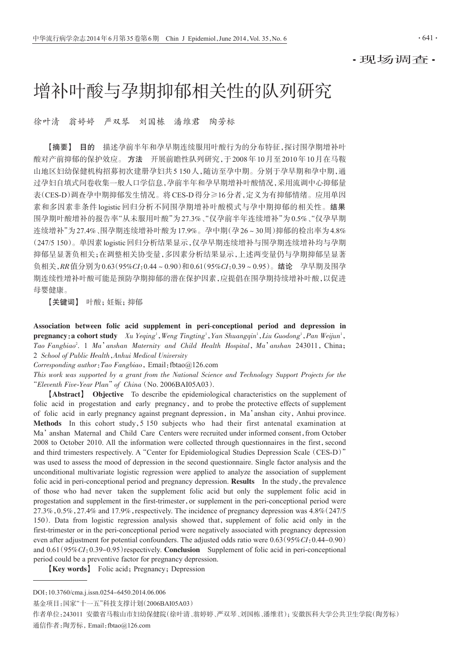·现场调查·

# 增补叶酸与孕期抑郁相关性的队列研究

徐叶清 翁婷婷 严双琴 刘国栋 潘维君 陶芳标

【摘要】 目的 描述孕前半年和孕早期连续服用叶酸行为的分布特征,探讨围孕期增补叶 酸对产前抑郁的保护效应。 方法 开展前瞻性队列研究,于2008年10月至2010年10月在马鞍 山地区妇幼保健机构招募初次建册孕妇共5 150人,随访至孕中期。分别于孕早期和孕中期,通 过孕妇自填式问卷收集一般人口学信息,孕前半年和孕早期增补叶酸情况,采用流调中心抑郁量 表(CES-D)调查孕中期抑郁发生情况。将CES-D得分≥16分者,定义为有抑郁情绪。应用单因 素和多因素非条件 logistic 回归分析不同围孕期增补叶酸模式与孕中期抑郁的相关性。结果 围孕期叶酸增补的报告率"从未服用叶酸"为27.3%、"仅孕前半年连续增补"为0.5%、"仅孕早期 连续增补"为27.4%、围孕期连续增补叶酸为17.9%。孕中期(孕26~30周)抑郁的检出率为4.8% (247/5 150)。单因素logistic回归分析结果显示,仅孕早期连续增补与围孕期连续增补均与孕期 抑郁呈显著负相关;在调整相关协变量,多因素分析结果显示,上述两变量仍与孕期抑郁呈显著 负相关,RR值分别为0.63(95%CI:0.44~0.90)和0.61(95%CI:0.39~0.95)。结论 孕早期及围孕 期连续性增补叶酸可能是预防孕期抑郁的潜在保护因素,应提倡在围孕期持续增补叶酸,以促进 母婴健康。

【关键词】 叶酸;妊娠;抑郁

Association between folic acid supplement in peri-conceptional period and depression in  $pregnancy: a cohort study$   $Xu$   $Yeqing<sup>1</sup>, Weng Tingting<sup>1</sup>, Yan Shuanggin<sup>1</sup>, Liu Guodong<sup>1</sup>, Pan Weijun<sup>1</sup>,$ Tao Fangbiao<sup>2</sup>. 1 Ma'anshan Maternity and Child Health Hospital, Ma'anshan 243011, China; 2 School of Public Health,Anhui Medical University

Corresponding author: Tao Fangbiao, Email: fbtao@126.com

This work was supported by a grant from the National Science and Technology Support Projects for the "Eleventh Five-Year Plan"of China(No. 2006BAI05A03).

【Abstract】 Objective To describe the epidemiological characteristics on the supplement of folic acid in progestation and early pregnancy, and to probe the protective effects of supplement of folic acid in early pregnancy against pregnant depression, in Ma'anshan city, Anhui province. Methods In this cohort study, 5 150 subjects who had their first antenatal examination at Ma'anshan Maternal and Child Care Centers were recruited under informed consent,from October 2008 to October 2010. All the information were collected through questionnaires in the first, second and third trimesters respectively. A"Center for Epidemiological Studies Depression Scale(CES-D)" was used to assess the mood of depression in the second questionnaire. Single factor analysis and the unconditional multivariate logistic regression were applied to analyze the association of supplement folic acid in peri-conceptional period and pregnancy depression. Results In the study, the prevalence of those who had never taken the supplement folic acid but only the supplement folic acid in progestation and supplement in the first-trimester, or supplement in the peri-conceptional period were  $27.3\%,0.5\%,27.4\%$  and  $17.9\%$ , respectively. The incidence of pregnancy depression was  $4.8\%/247/5$ 150). Data from logistic regression analysis showed that, supplement of folic acid only in the first-trimester or in the peri-conceptional period were negatively associated with pregnancy depression even after adjustment for potential confounders. The adjusted odds ratio were  $0.63(95\%CI:0.44-0.90)$ and 0.61(95%CI:0.39-0.95)respectively. Conclusion Supplement of folic acid in peri-conceptional period could be a preventive factor for pregnancy depression.

**[Key words]** Folic acid; Pregnancy; Depression

基金项目:国家"十一五"科技支撑计划(2006BAI05A03)

作者单位:243011 安徽省马鞍山市妇幼保健院(徐叶清、翁婷婷、严双琴、刘国栋、潘维君);安徽医科大学公共卫生学院(陶芳标) 通信作者:陶芳标,Email:fbtao@126.com

DOI:10.3760/cma.j.issn.0254-6450.2014.06.006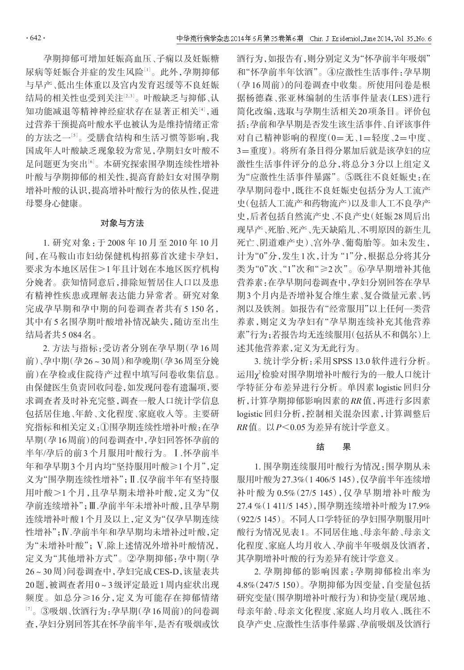孕期抑郁可增加妊娠高血压、子痫以及妊娠糖 尿病等妊娠合并症的发生风险[1]。此外,孕期抑郁 与早产、低出生体重以及宫内发育迟缓等不良妊娠 结局的相关性也受到关注[<sup>2</sup>,3] 。叶酸缺乏与抑郁、认 知功能减退等精神神经症状存在显著正相关[4],通 过营养干预提高叶酸水平也被认为是维持情绪正常 的方法之一[<sup>5</sup>] 。受膳食结构和生活习惯等影响,我 国成年人叶酸缺乏现象较为常见,孕期妇女叶酸不 足问题更为突出[<sup>6</sup>] 。本研究探索围孕期连续性增补 叶酸与孕期抑郁的相关性,提高育龄妇女对围孕期 增补叶酸的认识,提高增补叶酸行为的依从性,促进 母婴身心健康。

### 对象与方法

1. 研究对象:于 2008 年 10 月至 2010 年 10 月 间,在马鞍山市妇幼保健机构招募首次建卡孕妇, 要求为本地区居住>1年且计划在本地区医疗机构 分娩者。获知情同意后,排除短暂居住人口以及患 有精神性疾患或理解表达能力异常者。研究对象 完成孕早期和孕中期的问卷调查者共有 5 150 名, 其中有5名围孕期叶酸增补情况缺失,随访至出生 结局者共5 084名。

2. 方法与指标:受访者分别在孕早期(孕 16 周 前)、孕中期(孕26~30周)和孕晚期(孕36周至分娩 前)在孕检或住院待产过程中填写问卷收集信息。 由保健医生负责回收问卷,如发现问卷有遗漏项,要 求调查者及时补充完整,调查一般人口统计学信息 包括居住地、年龄、文化程度、家庭收入等。主要研 究指标和相关定义:①围孕期连续性增补叶酸:在孕 早期(孕16周前)的问卷调查中,孕妇回答怀孕前的 半年/孕后的前 3 个月服用叶酸行为。Ⅰ.怀孕前半 年和孕早期3个月内均"坚持服用叶酸≥1个月",定 义为"围孕期连续性增补";Ⅱ.仅孕前半年有坚持服 用叶酸>1 个月,且孕早期未增补叶酸,定义为"仅 孕前连续增补";Ⅲ.孕前半年未增补叶酸,且孕早期 连续增补叶酸1个月及以上,定义为"仅孕早期连续 性增补";Ⅳ.孕前半年和孕早期均未增补过叶酸,定 为"未增补叶酸";Ⅴ.除上述情况外增补叶酸情况, 定义为"其他增补方式"。②孕期抑郁:孕中期(孕 26~30周)问卷调查中,孕妇完成CES-D,该量表共 20题,被调查者用0~3级评定最近1周内症状出现 频度。如总分≥16 分,定义为可能存在抑郁情绪 [7] 。③吸烟、饮酒行为:孕早期(孕16周前)的问卷调 查,孕妇分别回答其在怀孕前半年,是否有吸烟或饮

酒行为,如报告有,则分别定义为"怀孕前半年吸烟" 和"怀孕前半年饮酒"。④应激性生活事件:孕早期 (孕16周前)的问卷调查中收集。所使用问卷是根 据杨德森、张亚林编制的生活事件量表(LES)进行 简化改编,选取与孕期生活相关20项条目。评价包 括:孕前和孕早期是否发生该生活事件、自评该事件 对自己精神影响的程度(0=无、1=轻度、2=中度、 3=重度)。将所有条目得分累加后就是该孕妇的应 激性生活事件评分的总分,将总分3分以上组定义 为"应激性生活事件暴露"。⑤既往不良妊娠史:在 孕早期问卷中,既往不良妊娠史包括分为人工流产 史(包括人工流产和药物流产)以及非人工不良孕产 史,后者包括自然流产史、不良产史(妊娠28周后出 现早产、死胎、死产、先天缺陷儿、不明原因的新生儿 死亡、阴道难产史)、宫外孕、葡萄胎等。如未发生, 计为"0"分,发生1次,计为"1"分,根据总分将其分 类为"0"次、"1"次和"≥2 次"。⑥孕早期增补其他 营养素:在孕早期问卷调查中,孕妇分别回答在孕早 期3个月内是否增补复合维生素、复合微量元素、钙 剂以及铁剂。如报告有"经常服用"以上任何一类营 养素,则定义为孕妇有"孕早期连续补充其他营养 素"行为;若报告均无连续服用(句括从不和偶尔)上 述其他营养素,定义为无此行为。

3. 统计学分析:采用SPSS 13.0软件进行分析。 运用χ<sup>2</sup>检验对围孕期增补叶酸行为的一般人口统计 学特征分布差异进行分析。单因素 logistic 回归分 析,计算孕期抑郁影响因素的RR值,再进行多因素 logistic 回归分析,控制相关混杂因素,计算调整后 RR值。以P<0.05为差异有统计学意义。

#### 结 果

1. 围孕期连续服用叶酸行为情况:围孕期从未 服用叶酸为27.3%(1 406/5 145),仅孕前半年连续增 补叶酸为 0.5%(27/5 145),仅孕早期增补叶酸为 27.4 %(1 411/5 145),围孕期连续增补叶酸为17.9% (922/5 145)。不同人口学特征的孕妇围孕期服用叶 酸行为情况见表1。不同居住地、母亲年龄、母亲文 化程度、家庭人均月收入、孕前半年吸烟及饮酒者, 其孕期增补叶酸的行为差异有统计学意义。

2. 孕期抑郁的影响因素:孕期抑郁检出率为 4.8%(247/5 150)。孕期抑郁为因变量,自变量包括 研究变量(围孕期增补叶酸行为)和协变量(现居地、 母亲年龄、母亲文化程度、家庭人均月收入、既往不 良孕产史、应激性生活事件暴露、孕前吸烟及饮酒行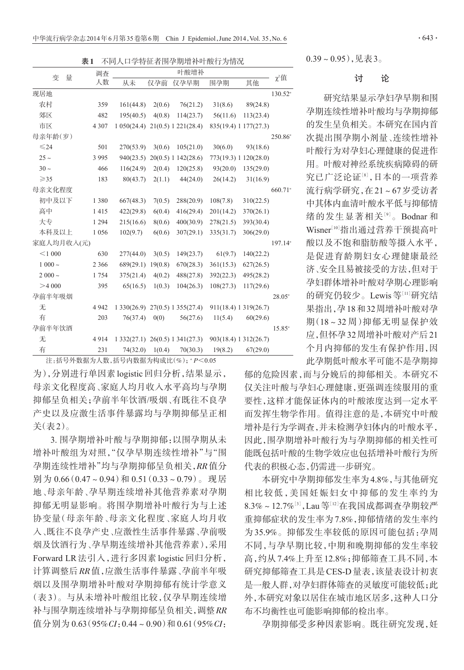表1 不同人口学特征者围孕期增补叶酸行为情况

| 量<br>变         | 调查      | 叶酸增补       |         |                                         |                       |           |                     |
|----------------|---------|------------|---------|-----------------------------------------|-----------------------|-----------|---------------------|
|                | 人数      | 从未         | 仅孕前     | 仅孕早期                                    | 围孕期                   | 其他        | $\chi^2$ 值          |
| 现居地            |         |            |         |                                         |                       |           | $130.52^{\circ}$    |
| 农村             | 359     | 161(44.8)  | 2(0.6)  | 76(21.2)                                | 31(8.6)               | 89(24.8)  |                     |
| 郊区             | 482     | 195(40.5)  | 4(0.8)  | 114(23.7)                               | 56(11.6)              | 113(23.4) |                     |
| 市区             | 4 3 0 7 |            |         | $1\,050(24.4)$ $21(0.5)$ $1\,221(28.4)$ | 835(19.4) 1 177(27.3) |           |                     |
| 母亲年龄(岁)        |         |            |         |                                         |                       |           | $250.86^{\circ}$    |
| $\leq 24$      | 501     | 270(53.9)  | 3(0.6)  | 105(21.0)                               | 30(6.0)               | 93(18.6)  |                     |
| $25 -$         | 3 9 9 5 | 940(23.5)  |         | 20(0.5) 1 142(28.6)                     | 773(19.3) 1 120(28.0) |           |                     |
| $30 -$         | 466     | 116(24.9)  | 2(0.4)  | 120(25.8)                               | 93(20.0)              | 135(29.0) |                     |
| $\geqslant$ 35 | 183     | 80(43.7)   | 2(1.1)  | 44(24.0)                                | 26(14.2)              | 31(16.9)  |                     |
| 母亲文化程度         |         |            |         |                                         |                       |           | 660.71 <sup>a</sup> |
| 初中及以下          | 1 3 8 0 | 667(48.3)  | 7(0.5)  | 288(20.9)                               | 108(7.8)              | 310(22.5) |                     |
| 高中             | 1415    | 422(29.8)  | 6(0.4)  | 416(29.4)                               | 201(14.2)             | 370(26.1) |                     |
| 大专             | 1 2 9 4 | 215(16.6)  | 8(0.6)  | 400(30.9)                               | 278(21.5)             | 393(30.4) |                     |
| 本科及以上          | 1 0 5 6 | 102(9.7)   | 6(0.6)  | 307(29.1)                               | 335(31.7)             | 306(29.0) |                     |
| 家庭人均月收入(元)     |         |            |         |                                         |                       |           | $197.14^{\circ}$    |
| $<$ 1000       | 630     | 277(44.0)  | 3(0.5)  | 149(23.7)                               | 61(9.7)               | 140(22.2) |                     |
| $1000 \sim$    | 2 3 6 6 | 689(29.1)  | 19(0.8) | 670(28.3)                               | 361(15.3)             | 627(26.5) |                     |
| $2000 -$       | 1754    | 375(21.4)  | 4(0.2)  | 488(27.8)                               | 392(22.3)             | 495(28.2) |                     |
| >4000          | 395     | 65(16.5)   | 1(0.3)  | 104(26.3)                               | 108(27.3)             | 117(29.6) |                     |
| 孕前半年吸烟         |         |            |         |                                         |                       |           | $28.05^{\circ}$     |
| 无              | 4 9 4 2 | 1330(26.9) |         | 27(0.5) 1 355(27.4)                     | 911(18.4) 1 319(26.7) |           |                     |
| 有              | 203     | 76(37.4)   | 0(0)    | 56(27.6)                                | 11(5.4)               | 60(29.6)  |                     |
| 孕前半年饮酒         |         |            |         |                                         |                       |           | $15.85^{a}$         |
| 无              | 4914    | 1332(27.1) |         | 26(0.5) 1 341(27.3)                     | 903(18.4) 1 312(26.7) |           |                     |
| 有              | 231     | 74(32.0)   | 1(0.4)  | 70(30.3)                                | 19(8.2)               | 67(29.0)  |                     |

注: 括号外数据为人数, 括号内数据为构成比 $(w_0)$ ;  ${}^{\alpha}P$ <0.05

为),分别进行单因素 logistic 回归分析,结果显示, 母亲文化程度高、家庭人均月收入水平高均与孕期 抑郁呈负相关;孕前半年饮酒/吸烟、有既往不良孕 产史以及应激生活事件暴露均与孕期抑郁呈正相 关(表2)。

3. 围孕期增补叶酸与孕期抑郁:以围孕期从未 增补叶酸组为对照,"仅孕早期连续性增补"与"围 孕期连续性增补"均与孕期抑郁呈负相关,RR值分 别为 0.66(0.47~0.94)和 0.51(0.33~0.79)。现居 地、母亲年龄、孕早期连续增补其他营养素对孕期 抑郁无明显影响。将围孕期增补叶酸行为与上述 协变量(母亲年龄、母亲文化程度、家庭人均月收 入、既往不良孕产史、应激性生活事件暴露、孕前吸 烟及饮酒行为、孕早期连续增补其他营养素),采用 Forward LR 法引入,进行多因素 logistic 回归分析, 计算调整后RR值,应激生活事件暴露、孕前半年吸 烟以及围孕期增补叶酸对孕期抑郁有统计学意义 (表 3)。与从未增补叶酸组比较,仅孕早期连续增 补与围孕期连续增补与孕期抑郁呈负相关,调整RR 值分别为 0.63 (95%CI: 0.44~0.90)和 0.61 (95%CI: 0.39~0.95),见表3。

## 讨 论

研究结果显示孕妇孕早期和围 孕期连续性增补叶酸均与孕期抑郁 的发生呈负相关。本研究在国内首 次提出围孕期小剂量、连续性增补 叶酸行为对孕妇心理健康的促进作 用。叶酸对神经系统疾病障碍的研 究已广泛论证<sup>[8]</sup>,日本的一项营养 流行病学研究,在21~67岁受访者 中其体内血清叶酸水平低与抑郁情 绪的发生显著相关<sup>[9]</sup>。Bodnar 和 Wisner[10]指出通过营养干预提高叶 酸以及不饱和脂肪酸等摄入水平, 是促进育龄期妇女心理健康最经 济、安全且易被接受的方法,但对于 孕妇群体增补叶酸对孕期心理影响 的研究仍较少。Lewis等[11]研究结 果指出,孕18和32周增补叶酸对孕 期(18~32 周)抑郁无明显保护效 应,但怀孕32周增补叶酸对产后21 个月内抑郁的发生有保护作用,因 此孕期低叶酸水平可能不是孕期抑

郁的危险因素,而与分娩后的抑郁相关。本研究不 仅关注叶酸与孕妇心理健康,更强调连续服用的重 要性,这样才能保证体内的叶酸浓度达到一定水平 而发挥生物学作用。值得注意的是,本研究中叶酸 增补是行为学调查,并未检测孕妇体内的叶酸水平, 因此,围孕期增补叶酸行为与孕期抑郁的相关性可 能既包括叶酸的生物学效应也包括增补叶酸行为所 代表的积极心态,仍需进一步研究。

本研究中孕期抑郁发生率为4.8%,与其他研究 相比较低,美国妊娠妇女中抑郁的发生率约为 8.3%~12.7%[3],Lau等[12]在我国成都调查孕期较严 重抑郁症状的发生率为7.8%,抑郁情绪的发生率约 为 35.9%。抑郁发生率较低的原因可能包括:孕周 不同,与孕早期比较,中期和晚期抑郁的发生率较 高,约从7.4%上升至12.8%;抑郁筛查工具不同,本 研究抑郁筛查工具是CES-D量表,该量表设计初衷 是一般人群,对孕妇群体筛查的灵敏度可能较低;此 外,本研究对象以居住在城市地区居多,这种人口分 布不均衡性也可能影响抑郁的检出率。

孕期抑郁受多种因素影响。既往研究发现,妊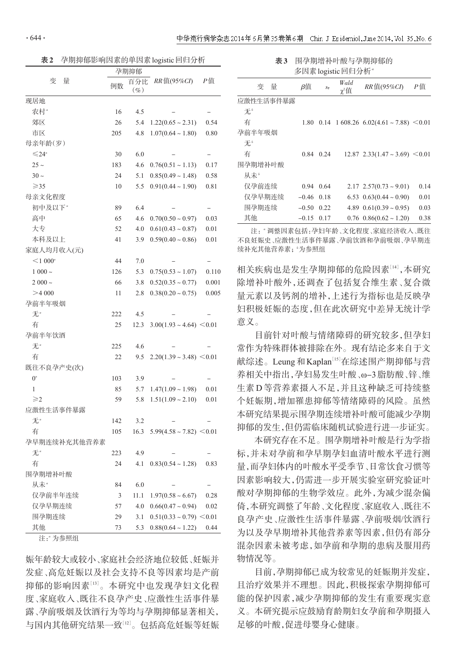表2 孕期抑郁影响因素的单因素logistic回归分析

|                     | 孕期抑郁 |               |                                  |       |
|---------------------|------|---------------|----------------------------------|-------|
| 变<br>量              | 例数   | 百分比<br>$(\%)$ | $RR$ 值(95% $CI$ )                | Р值    |
| 现居地                 |      |               |                                  |       |
| 农村"                 | 16   | 4.5           |                                  |       |
| 郊区                  | 26   | 5.4           | $1.22(0.65 \sim 2.31)$           | 0.54  |
| 市区                  | 205  | 4.8           | $1.07(0.64 \sim 1.80)$           | 0.80  |
| 母亲年龄(岁)             |      |               |                                  |       |
| $\leq 24^{\circ}$   | 30   | 6.0           |                                  |       |
| $25 -$              | 183  | 4.6           | $0.76(0.51 \sim 1.13)$           | 0.17  |
| $30 \sim$           | 24   | 5.1           | $0.85(0.49 \sim 1.48)$           | 0.58  |
| $\geqslant$ 35      | 10   | 5.5           | $0.91(0.44 \sim 1.90)$           | 0.81  |
| 母亲文化程度              |      |               |                                  |       |
| 初中及以下 <sup>。</sup>  | 89   | 6.4           |                                  |       |
| 高中                  | 65   | 4.6           | $0.70(0.50 \sim 0.97)$           | 0.03  |
| 大专                  | 52   | 4.0           | $0.61(0.43 \sim 0.87)$           | 0.01  |
| 本科及以上               | 41   | 3.9           | $0.59(0.40 \sim 0.86)$           | 0.01  |
| 家庭人均月收入(元)          |      |               |                                  |       |
| $\leq 1000^{\circ}$ | 44   | 7.0           |                                  |       |
| $1000 -$            | 126  | 5.3           | $0.75(0.53 \sim 1.07)$           | 0.110 |
| $2000 -$            | 66   | 3.8           | $0.52(0.35 \sim 0.77)$           | 0.001 |
| >4000               | 11   | 2.8           | $0.38(0.20 \sim 0.75)$           | 0.005 |
| 孕前半年吸烟              |      |               |                                  |       |
| 无"                  | 222  | 4.5           |                                  |       |
| 有                   | 25   | 12.3          | $3.00(1.93 \sim 4.64) \le 0.01$  |       |
| 孕前半年饮酒              |      |               |                                  |       |
| 无"                  | 225  | 4.6           |                                  |       |
| 有                   | 22   | 9.5           | $2.20(1.39 \sim 3.48) \le 0.01$  |       |
| 既往不良孕产史(次)          |      |               |                                  |       |
| $0^a$               | 103  | 3.9           |                                  |       |
| 1                   | 85   | 5.7           | $1.47(1.09 \sim 1.98)$           | 0.01  |
| $\geqslant$         | 59   | 5.8           | $1.51(1.09 \sim 2.10)$           | 0.01  |
| 应激性生活事件暴露           |      |               |                                  |       |
| 无"                  | 142  | 3.2           |                                  |       |
| 有                   | 105  | 16.3          | $5.99(4.58 \sim 7.82) \leq 0.01$ |       |
| 孕早期连续补充其他营养素        |      |               |                                  |       |
| 无"                  | 223  | 4.9           |                                  |       |
| 有                   | 24   | 4.1           | $0.83(0.54 \sim 1.28)$           | 0.83  |
| 围孕期增补叶酸             |      |               |                                  |       |
| 从未"                 | 84   | 6.0           |                                  |       |
| 仅孕前半年连续             | 3    | 11.1          | $1.97(0.58 \sim 6.67)$           | 0.28  |
| 仅孕早期连续              | 57   | 4.0           | $0.66(0.47 \sim 0.94)$           | 0.02  |
| 围孕期连续               | 29   | 3.1           | $0.51(0.33 \sim 0.79) \le 0.01$  |       |
| 其他                  | 73   | 5.3           | $0.88(0.64 \sim 1.22)$           | 0.44  |
| 注: 为参照组             |      |               |                                  |       |

娠年龄较大或较小、家庭社会经济地位较低、妊娠并 发症、高危妊娠以及社会支持不良等因素均是产前 抑郁的影响因素[<sup>13</sup>] 。本研究中也发现孕妇文化程 度、家庭收入、既往不良孕产史、应激性生活事件暴 露、孕前吸烟及饮酒行为等均与孕期抑郁显著相关, 与国内其他研究结果一致[<sup>12</sup>] 。包括高危妊娠等妊娠

表3 围孕期增补叶酸与孕期抑郁的 多因素 logistic 回归分析<sup>。</sup>

| 量<br>变    | β值           | $S_{\overline{x}}$ | Wald<br>$\chi^2$ 值 | <i>RR</i> 值(95%CI)                               | Р值   |
|-----------|--------------|--------------------|--------------------|--------------------------------------------------|------|
| 应激性生活事件暴露 |              |                    |                    |                                                  |      |
| 无*        |              |                    |                    |                                                  |      |
| 有         |              |                    |                    | 1.80 0.14 1 608.26 $6.02(4.61 \sim 7.88)$ < 0.01 |      |
| 孕前半年吸烟    |              |                    |                    |                                                  |      |
| 无*        |              |                    |                    |                                                  |      |
| 有         | 0.84         | 0.24               |                    | $12.87$ $2.33(1.47 \sim 3.69)$ < 0.01            |      |
| 围孕期增补叶酸   |              |                    |                    |                                                  |      |
| 从未"       |              |                    |                    |                                                  |      |
| 仅孕前连续     | 0.94         | 0.64               |                    | $2.17$ $2.57(0.73 \sim 9.01)$                    | 0.14 |
| 仅孕早期连续    | $-0.46$ 0.18 |                    |                    | 6.53 $0.63(0.44 \approx 0.90)$                   | 0.01 |
| 围孕期连续     | $-0.50$      | 0.22               |                    | 4.89 $0.61(0.39 \approx 0.95)$                   | 0.03 |
| 其他        | $-0.15$      | 0.17               |                    | $0.76$ $0.86(0.62 \sim 1.20)$                    | 0.38 |

注:"调整因素包括:孕妇年龄、文化程度、家庭经济收入、既往 不良妊娠史、应激性生活事件暴露、孕前饮酒和孕前吸烟、孕早期连 续补充其他营养素; '为参照组

相关疾病也是发生孕期抑郁的危险因素[<sup>14</sup>] ,本研究 除增补叶酸外,还调查了包括复合维生素、复合微 量元素以及钙剂的增补,上述行为指标也是反映孕 妇积极妊娠的态度,但在此次研究中差异无统计学 意义。

目前针对叶酸与情绪障碍的研究较多,但孕妇 常作为特殊群体被排除在外。现有结论多来自于文 献综述。Leung和Kaplan<sup>[15]</sup>在综述围产期抑郁与营 养相关中指出,孕妇易发生叶酸、ω-3脂肪酸、锌、维 生素D等营养素摄入不足,并且这种缺乏可持续整 个妊娠期,增加罹患抑郁等情绪障碍的风险。虽然 本研究结果提示围孕期连续增补叶酸可能减少孕期 抑郁的发生,但仍需临床随机试验进行进一步证实。

本研究存在不足。围孕期增补叶酸是行为学指 标,并未对孕前和孕早期孕妇血清叶酸水平进行测 量,而孕妇体内的叶酸水平受季节、日常饮食习惯等 因素影响较大,仍需进一步开展实验室研究验证叶 酸对孕期抑郁的生物学效应。此外,为减少混杂偏 倚,本研究调整了年龄、文化程度、家庭收入、既往不 良孕产史、应激性生活事件暴露、孕前吸烟/饮酒行 为以及孕早期增补其他营养素等因素,但仍有部分 混杂因素未被考虑,如孕前和孕期的患病及服用药 物情况等。

目前,孕期抑郁已成为较常见的妊娠期并发症, 且治疗效果并不理想。因此,积极探索孕期抑郁可 能的保护因素,减少孕期抑郁的发生有重要现实意 义。本研究提示应鼓励育龄期妇女孕前和孕期摄入 足够的叶酸,促进母婴身心健康。